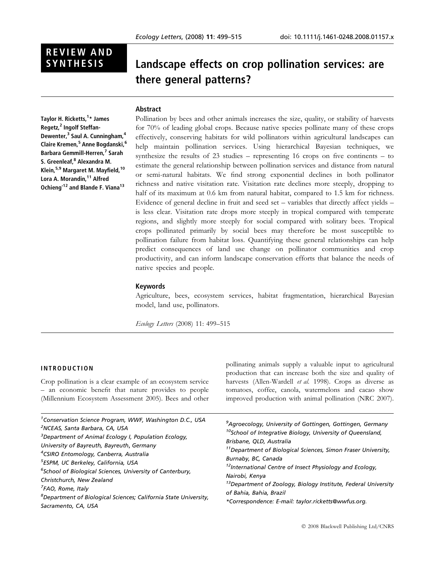# REVIEW AND<br>SYNTHESIS

# Landscape effects on crop pollination services: are there general patterns?

# Abstract

Taylor H. Ricketts,<sup>1</sup>\* James Regetz,<sup>2</sup> Ingolf Steffan-Dewenter,<sup>3</sup> Saul A. Cunningham,<sup>4</sup> Claire Kremen,<sup>5</sup> Anne Bogdanski,<sup>6</sup> Barbara Gemmill-Herren,<sup>7</sup> Sarah S. Greenleaf,<sup>8</sup> Alexandra M. Klein,5,9 Margaret M. Mayfield,<sup>10</sup> Lora A. Morandin, <sup>11</sup> Alfred Ochieng<sup>,12</sup> and Blande F. Viana<sup>13</sup>

Pollination by bees and other animals increases the size, quality, or stability of harvests for 70% of leading global crops. Because native species pollinate many of these crops effectively, conserving habitats for wild pollinators within agricultural landscapes can help maintain pollination services. Using hierarchical Bayesian techniques, we synthesize the results of  $23$  studies – representing 16 crops on five continents – to estimate the general relationship between pollination services and distance from natural or semi-natural habitats. We find strong exponential declines in both pollinator richness and native visitation rate. Visitation rate declines more steeply, dropping to half of its maximum at 0.6 km from natural habitat, compared to 1.5 km for richness. Evidence of general decline in fruit and seed set – variables that directly affect yields – is less clear. Visitation rate drops more steeply in tropical compared with temperate regions, and slightly more steeply for social compared with solitary bees. Tropical crops pollinated primarily by social bees may therefore be most susceptible to pollination failure from habitat loss. Quantifying these general relationships can help predict consequences of land use change on pollinator communities and crop productivity, and can inform landscape conservation efforts that balance the needs of native species and people.

# Keywords

Agriculture, bees, ecosystem services, habitat fragmentation, hierarchical Bayesian model, land use, pollinators.

Ecology Letters (2008) 11: 499–515

#### INTRODUCTION

Crop pollination is a clear example of an ecosystem service – an economic benefit that nature provides to people (Millennium Ecosystem Assessment 2005). Bees and other pollinating animals supply a valuable input to agricultural production that can increase both the size and quality of harvests (Allen-Wardell et al. 1998). Crops as diverse as tomatoes, coffee, canola, watermelons and cacao show improved production with animal pollination (NRC 2007).

| <sup>1</sup> Conservation Science Program, WWF, Washington D.C., USA<br><sup>2</sup> NCEAS, Santa Barbara, CA, USA<br><sup>3</sup> Department of Animal Ecology I, Population Ecology,<br>University of Bayreuth, Bayreuth, Germany<br><sup>4</sup> CSIRO Entomology, Canberra, Australia<br><sup>5</sup> ESPM, UC Berkeley, California, USA<br><sup>6</sup> School of Biological Sciences, University of Canterbury,<br>Christchurch, New Zealand<br><sup>7</sup> FAO, Rome, Italy<br><sup>8</sup> Department of Biological Sciences; California State University, | <sup>9</sup> Agroecology, University of Gottingen, Gottingen, Germany<br><sup>10</sup> School of Integrative Biology, University of Queensland,<br>Brisbane, QLD, Australia<br><sup>11</sup> Department of Biological Sciences, Simon Fraser University,<br>Burnaby, BC, Canada<br><sup>12</sup> International Centre of Insect Physiology and Ecology,<br>Nairobi, Kenya<br><sup>13</sup> Department of Zoology, Biology Institute, Federal University<br>of Bahia, Bahia, Brazil |
|---------------------------------------------------------------------------------------------------------------------------------------------------------------------------------------------------------------------------------------------------------------------------------------------------------------------------------------------------------------------------------------------------------------------------------------------------------------------------------------------------------------------------------------------------------------------|------------------------------------------------------------------------------------------------------------------------------------------------------------------------------------------------------------------------------------------------------------------------------------------------------------------------------------------------------------------------------------------------------------------------------------------------------------------------------------|
| Sacramento, CA, USA                                                                                                                                                                                                                                                                                                                                                                                                                                                                                                                                                 | *Correspondence: E-mail: taylor.ricketts@wwfus.org.                                                                                                                                                                                                                                                                                                                                                                                                                                |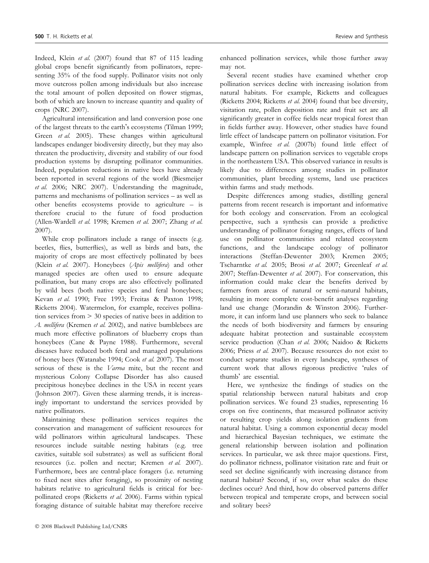Indeed, Klein et al. (2007) found that 87 of 115 leading global crops benefit significantly from pollinators, representing 35% of the food supply. Pollinator visits not only move outcross pollen among individuals but also increase the total amount of pollen deposited on flower stigmas, both of which are known to increase quantity and quality of crops (NRC 2007).

Agricultural intensification and land conversion pose one of the largest threats to the earth's ecosystems (Tilman 1999; Green et al. 2005). These changes within agricultural landscapes endanger biodiversity directly, but they may also threaten the productivity, diversity and stability of our food production systems by disrupting pollinator communities. Indeed, population reductions in native bees have already been reported in several regions of the world (Biesmeijer et al. 2006; NRC 2007). Understanding the magnitude, patterns and mechanisms of pollination services – as well as other benefits ecosystems provide to agriculture – is therefore crucial to the future of food production (Allen-Wardell et al. 1998; Kremen et al. 2007; Zhang et al. 2007).

While crop pollinators include a range of insects (e.g. beetles, flies, butterflies), as well as birds and bats, the majority of crops are most effectively pollinated by bees (Klein et al. 2007). Honeybees (Apis mellifera) and other managed species are often used to ensure adequate pollination, but many crops are also effectively pollinated by wild bees (both native species and feral honeybees; Kevan et al. 1990; Free 1993; Freitas & Paxton 1998; Ricketts 2004). Watermelon, for example, receives pollination services from > 30 species of native bees in addition to A. mellifera (Kremen et al. 2002), and native bumblebees are much more effective pollinators of blueberry crops than honeybees (Cane & Payne 1988). Furthermore, several diseases have reduced both feral and managed populations of honey bees (Watanabe 1994; Cook et al. 2007). The most serious of these is the Varroa mite, but the recent and mysterious Colony Collapse Disorder has also caused precipitous honeybee declines in the USA in recent years (Johnson 2007). Given these alarming trends, it is increasingly important to understand the services provided by native pollinators.

Maintaining these pollination services requires the conservation and management of sufficient resources for wild pollinators within agricultural landscapes. These resources include suitable nesting habitats (e.g. tree cavities, suitable soil substrates) as well as sufficient floral resources (i.e. pollen and nectar; Kremen et al. 2007). Furthermore, bees are central-place foragers (i.e. returning to fixed nest sites after foraging), so proximity of nesting habitats relative to agricultural fields is critical for beepollinated crops (Ricketts et al. 2006). Farms within typical foraging distance of suitable habitat may therefore receive

enhanced pollination services, while those further away may not.

Several recent studies have examined whether crop pollination services decline with increasing isolation from natural habitats. For example, Ricketts and colleagues (Ricketts 2004; Ricketts et al. 2004) found that bee diversity, visitation rate, pollen deposition rate and fruit set are all significantly greater in coffee fields near tropical forest than in fields further away. However, other studies have found little effect of landscape pattern on pollinator visitation. For example, Winfree et al. (2007b) found little effect of landscape pattern on pollination services to vegetable crops in the northeastern USA. This observed variance in results is likely due to differences among studies in pollinator communities, plant breeding systems, land use practices within farms and study methods.

Despite differences among studies, distilling general patterns from recent research is important and informative for both ecology and conservation. From an ecological perspective, such a synthesis can provide a predictive understanding of pollinator foraging ranges, effects of land use on pollinator communities and related ecosystem functions, and the landscape ecology of pollinator interactions (Steffan-Dewenter 2003; Kremen 2005; Tscharntke et al. 2005; Brosi et al. 2007; Greenleaf et al. 2007; Steffan-Dewenter et al. 2007). For conservation, this information could make clear the benefits derived by farmers from areas of natural or semi-natural habitats, resulting in more complete cost-benefit analyses regarding land use change (Morandin & Winston 2006). Furthermore, it can inform land use planners who seek to balance the needs of both biodiversity and farmers by ensuring adequate habitat protection and sustainable ecosystem service production (Chan et al. 2006; Naidoo & Ricketts 2006; Priess et al. 2007). Because resources do not exist to conduct separate studies in every landscape, syntheses of current work that allows rigorous predictive 'rules of thumb' are essential.

Here, we synthesize the findings of studies on the spatial relationship between natural habitats and crop pollination services. We found 23 studies, representing 16 crops on five continents, that measured pollinator activity or resulting crop yields along isolation gradients from natural habitat. Using a common exponential decay model and hierarchical Bayesian techniques, we estimate the general relationship between isolation and pollination services. In particular, we ask three major questions. First, do pollinator richness, pollinator visitation rate and fruit or seed set decline significantly with increasing distance from natural habitat? Second, if so, over what scales do these declines occur? And third, how do observed patterns differ between tropical and temperate crops, and between social and solitary bees?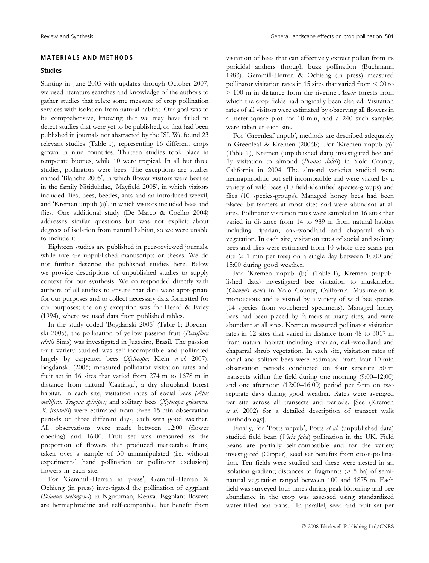#### MATERIALS AND METHODS

#### **Studies**

Starting in June 2005 with updates through October 2007, we used literature searches and knowledge of the authors to gather studies that relate some measure of crop pollination services with isolation from natural habitat. Our goal was to be comprehensive, knowing that we may have failed to detect studies that were yet to be published, or that had been published in journals not abstracted by the ISI. We found 23 relevant studies (Table 1), representing 16 different crops grown in nine countries. Thirteen studies took place in temperate biomes, while 10 were tropical. In all but three studies, pollinators were bees. The exceptions are studies named 'Blanche 2005', in which flower visitors were beetles in the family Nitidulidae, Mayfield 2005-, in which visitors included flies, bees, beetles, ants and an introduced weevil, and 'Kremen unpub (a)', in which visitors included bees and flies. One additional study (De Marco & Coelho 2004) addresses similar questions but was not explicit about degrees of isolation from natural habitat, so we were unable to include it.

Eighteen studies are published in peer-reviewed journals, while five are unpublished manuscripts or theses. We do not further describe the published studies here. Below we provide descriptions of unpublished studies to supply context for our synthesis. We corresponded directly with authors of all studies to ensure that data were appropriate for our purposes and to collect necessary data formatted for our purposes; the only exception was for Heard & Exley (1994), where we used data from published tables.

In the study coded 'Bogdanski 2005' (Table 1; Bogdanski 2005), the pollination of yellow passion fruit (Passiflora edulis Sims) was investigated in Juazeiro, Brasil. The passion fruit variety studied was self-incompatible and pollinated largely by carpenter bees (Xylocopa; Klein et al. 2007). Bogdanski (2005) measured pollinator visitation rates and fruit set in 16 sites that varied from 274 m to 1678 m in distance from natural 'Caatinga', a dry shrubland forest habitat. In each site, visitation rates of social bees (Apis mellifera, Trigona spinipes) and solitary bees (Xylocopa griesencis, X. frontalis) were estimated from three 15-min observation periods on three different days, each with good weather. All observations were made between 12:00 (flower opening) and 16:00. Fruit set was measured as the proportion of flowers that produced marketable fruits, taken over a sample of 30 unmanipulated (i.e. without experimental hand pollination or pollinator exclusion) flowers in each site.

For 'Gemmill-Herren in press', Gemmill-Herren & Ochieng (in press) investigated the pollination of eggplant (Solanun melongena) in Nguruman, Kenya. Eggplant flowers are hermaphroditic and self-compatible, but benefit from visitation of bees that can effectively extract pollen from its poricidal anthers through buzz pollination (Buchmann 1983). Gemmill-Herren & Ochieng (in press) measured pollinator visitation rates in 15 sites that varied from < 20 to > 100 m in distance from the riverine Acacia forests from which the crop fields had originally been cleared. Visitation rates of all visitors were estimated by observing all flowers in a meter-square plot for 10 min, and  $c$ . 240 such samples were taken at each site.

For 'Greenleaf unpub', methods are described adequately in Greenleaf & Kremen (2006b). For 'Kremen unpub (a)' (Table 1), Kremen (unpublished data) investigated bee and fly visitation to almond (Prunus dulcis) in Yolo County, California in 2004. The almond varieties studied were hermaphroditic but self-incompatible and were visited by a variety of wild bees (10 field-identified species-groups) and flies (10 species-groups). Managed honey bees had been placed by farmers at most sites and were abundant at all sites. Pollinator visitation rates were sampled in 16 sites that varied in distance from 14 to 989 m from natural habitat including riparian, oak-woodland and chaparral shrub vegetation. In each site, visitation rates of social and solitary bees and flies were estimated from 10 whole tree scans per site  $(c. 1 \text{ min per tree})$  on a single day between 10:00 and 15:00 during good weather.

For 'Kremen unpub (b)' (Table 1), Kremen (unpublished data) investigated bee visitation to muskmelon (Cucumis melo) in Yolo County, California. Muskmelon is monoecious and is visited by a variety of wild bee species (14 species from vouchered specimens). Managed honey bees had been placed by farmers at many sites, and were abundant at all sites. Kremen measured pollinator visitation rates in 12 sites that varied in distance from 48 to 3017 m from natural habitat including riparian, oak-woodland and chaparral shrub vegetation. In each site, visitation rates of social and solitary bees were estimated from four 10-min observation periods conducted on four separate 50 m transects within the field during one morning (9:00–12:00) and one afternoon (12:00–16:00) period per farm on two separate days during good weather. Rates were averaged per site across all transects and periods. [See (Kremen et al. 2002) for a detailed description of transect walk methodology].

Finally, for 'Potts unpub', Potts et al. (unpublished data) studied field bean (Vicia faba) pollination in the UK. Field beans are partially self-compatible and for the variety investigated (Clipper), seed set benefits from cross-pollination. Ten fields were studied and these were nested in an isolation gradient; distances to fragments  $($  > 5 ha) of seminatural vegetation ranged between 100 and 1875 m. Each field was surveyed four times during peak blooming and bee abundance in the crop was assessed using standardized water-filled pan traps. In parallel, seed and fruit set per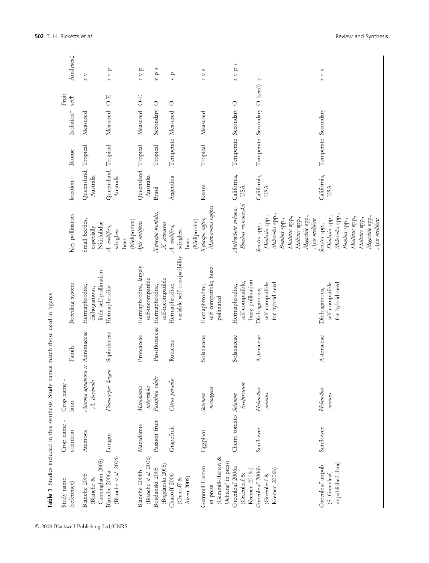| Table 1 Studies included in this synthesis. Study names match those used in figures<br>Study name | Crop name             |                                              |                |                                                           |                                                                                                                                               |                                   |                     |                                | Fruit   |                          |
|---------------------------------------------------------------------------------------------------|-----------------------|----------------------------------------------|----------------|-----------------------------------------------------------|-----------------------------------------------------------------------------------------------------------------------------------------------|-----------------------------------|---------------------|--------------------------------|---------|--------------------------|
| (reference)                                                                                       | common                | Crop name -<br>latin                         | Family         | Breeding system                                           | Key pollinators                                                                                                                               | location                          | Biome               | Isolation*                     | sett    | Analyses <sub>1</sub>    |
| Cunningham 2005)<br>Blanche 2005<br>Blanche &                                                     | Atemoya               | Annona squamosa x Annonaceae<br>A. cherimola |                | little self-pollination<br>Hermaphrodite,<br>dichogamous, | Small beetles,<br>Nitidulidae<br>especially                                                                                                   | Queensland,<br>Australia          | Tropical            | Measured                       |         | $\mathbf r$ v            |
| (Blanche et al. 2006)<br>Blanche 2006a                                                            | Longan                | Dimocarpus longan                            | Sapindaceae    | Hermaphrodite                                             | (Meliponini)<br>A. mellifera,<br>stingless<br>bees                                                                                            | Queensland, Tropical<br>Australia |                     | Measured                       | $O-E$   | $f \vee p$               |
| (Blanche et al. 2006)<br>Blanche 2006b                                                            | Macadamia             | integrifolia<br>Macadamia                    | Proteaceae     | Hermaphrodite, largely<br>self-incompatible               | Apis mellifera                                                                                                                                | Queensland, Tropical<br>Australia |                     | Measured                       | $O-E$   | $r \vee p$               |
| (Bogdanski 2005)<br>Bogdanski 2005                                                                | Passion fruit         | Passiflora edulis                            | Passifloraceae | self-incompatible<br>Hermaphrodite,                       | Xylocopa frontalis,<br>X. grisescens                                                                                                          | Brasil                            | Tropical            | Secondary                      | $\circ$ | $\infty$<br>$\mathbf{A}$ |
| Chacoff 2006<br>Aizen 2006)<br>(Chacoff &                                                         | Grapefruit            | Citrus paradise                              | Rutaceae       | variable self-compatibility<br>Hermaphrodite;             | (Meliponini)<br>A. mellifera,<br>stingless<br>bees                                                                                            | Argentina                         | Temperate Measured  |                                | $\circ$ | $\mathbf{A}$             |
| (Gemmill-Herren &<br>Ochieng' in press)<br>Gemmill-Herren<br>in press                             | Eggplant              | melongena<br>Solanum                         | Solanaceae     | self compatible; buzz<br>Hemaphtrodite;<br>pollinated     | Macronomia rufipes<br>Xylocopa caffra,                                                                                                        | Kenya                             | Tropical            | Measured                       |         | $t$ v $\sqrt{s}$         |
| Greenleaf 2006a<br>Kremen 2006a)<br>(Greenleaf &                                                  | Cherry tomato Solanum | byopersicum                                  | Solanaceae     | buzz-pollination<br>self-compatible,<br>Hermaphrodite,    | Bombus vosnesenskii<br>Anthophora urbana,                                                                                                     | California,<br><b>USA</b>         |                     | Temperate Secondary O          |         | $\infty$<br>$f \vee p$   |
| Greenleaf 2006b<br>Kremen 2006b)<br>(Greenleaf &                                                  | Sunflower             | Helianthus<br>$a$ nnuus                      | Asteraceae     | self-compatible<br>for hybrid seed<br>Dichogamous,        | Melissodes spp.,<br>Megachile spp.,<br>Diadasia spp.,<br>Dialictus spp.,<br>Halictus spp.,<br>Bombus spp.,<br>Apis mellifera<br>Svastra spp., | California,<br><b>USA</b>         |                     | Temperate Secondary O (seed) p |         |                          |
| unpublished data)<br>Greenleaf unpub<br>(S. Greenleaf,                                            | Sunflower             | Helianthus<br>annuus                         | Asteraceae     | self-compatible<br>for hybrid seed<br>Dichogamous,        | Melissodes spp.,<br>Megachile spp.,<br>Diadasia spp.,<br>Dialictus spp.,<br>Halictus spp.,<br>Bombus spp.,<br>Apis mellifera<br>Svastra spp., | California,<br><b>USA</b>         | Temperate Secondary |                                |         | $2 \Lambda$              |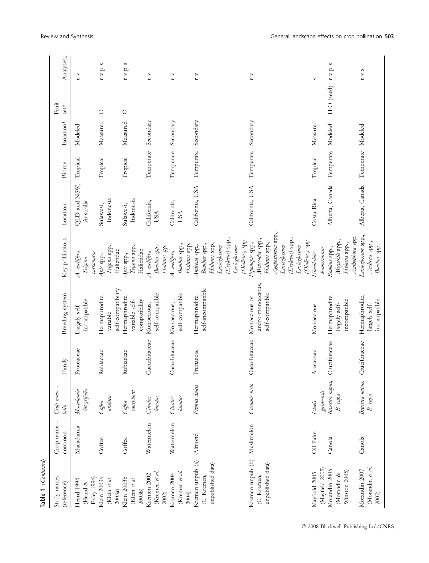| Table 1 (Continued)                                             |                     |                                            |                  |                                                       |                                                                                                                                                    |                                   |                     |            |               |                        |
|-----------------------------------------------------------------|---------------------|--------------------------------------------|------------------|-------------------------------------------------------|----------------------------------------------------------------------------------------------------------------------------------------------------|-----------------------------------|---------------------|------------|---------------|------------------------|
| Study names<br>(reference)                                      | Crop name<br>common | Crop name<br>latin                         | Family           | Breeding system                                       | Key pollinators                                                                                                                                    | Location                          | Biome               | Isolation* | Fruit<br>sett | Analyses <sub>1</sub>  |
| Exley 1994)<br>Heard 1994<br>(Heard &                           | Macadamia           | integrifolia<br>Macadamia                  | Proteaceae       | incompatible<br>Largely self                          | A. mellifera,<br>carbonaria<br>Trigona                                                                                                             | QLD and NSW,<br>Australia         | Tropical            | Modeled    |               | $\mathbf{r}$ v         |
| Klein 2003a<br>(Klein et al.<br>2003a)                          | Coffee              | arabica<br>Coffea                          | <b>Rubiaceae</b> | self-compatibility<br>Hermaphrodite,<br>variable      | Trigona spp.,<br>Halictidae<br>Apis spp.,                                                                                                          | Indonesia<br>Sulawesi,            | Tropical            | Measured   | $\circ$       | $\infty$<br>$t$ v p    |
| Klein 2003b<br>(Klein et al.<br>2003b)                          | Coffee              | canephora<br>Coffea                        | Rubiaceae        | Hermaphrodite,<br>compatibility<br>variable self-     | Trigona spp.,<br>Halictidae<br>$4\nu$ spp.,                                                                                                        | Indonesia<br>Sulawesi,            | Tropical            | Measured   | $\circ$       | $\infty$<br>$f \vee p$ |
| (Kremen et al.<br>Kremen 2002<br>2002)                          | Watermelon          | lanatus<br>Citrulus                        | Cucurbitaceae    | self-compatible<br>Monoecious,                        | Bombus spp.,<br>Halictus spp.<br>A. mellifera,                                                                                                     | California,<br>USA                | Temperate           | Secondary  |               | r v                    |
| (Kremen et al.<br>Kremen 2004<br>2004)                          | Watermelon          | lanatus<br>Citrulus                        | Cucurbitaceae    | self-compatible<br>Monoecious,                        | Bombus spp.,<br>Halictus spp.<br>A. mellifera,                                                                                                     | California,<br><b>USA</b>         | Temperate           | Secondary  |               | $\mathbf{r}$           |
| Kremen unpub (a)<br>unpublished data)<br>(C. Kremen,            | Almond              | Prunus dulcis                              | Prunaceae        | self-incompatible<br>Hermaphrodite,                   | (Evylaeus) spp.,<br>(Dialictus) spp.<br>Halictus spp.,<br>Bombus spp.,<br>Andrena spp.,<br>Lasioglossum<br>Lasioglossum                            | California, USA                   | Temperate Secondary |            |               | $r \nu$                |
| Kremen unpub (b) Muskmelon<br>unpublished data)<br>(C. Kremen,  |                     | Cucumis melo                               | Cucurbitaceae    | andro-monoecious,<br>self-compatible<br>Monoecious or | Agapostemon spp.,<br>(Evylaeus) spp.,<br>Melissodes spp.,<br>(Dialictus) spp.<br>Peponapis spp.,<br>Halictus spp.,<br>Lasioglossum<br>Lasioglossum | California, USA                   | Temperate Secondary |            |               | r v                    |
| Mayfield 2005                                                   | Oil Palm            | Elaeis                                     | Arecaceae        | Monoecious                                            | Elaeidobius                                                                                                                                        | Costa Rica                        | Tropical            | Measured   |               | $\triangleright$       |
| (Mayfield 2005)<br>Morandin 2005<br>Winston 2005)<br>Morandin & | Canola              | Brassica napus,<br>guineensis<br>$B.$ rapa | Cruciferaceae    | Hermaphrodite,<br>incompatible<br>largely self-       | Anthophora spp.<br>Megachile spp.,<br>Hylaeus spp.,<br>Bombus spp.,<br>kamerunicus                                                                 | Alberta, Canada                   | Temperate           | Modeled    | H-O (seed)    | S<br>$\sqrt{t}$ v p    |
| Morandin et al.<br>Morandin 2007<br>2007)                       | Canola              | Brassica napus,<br>$B.$ rapa               | Cruciferaceae    | Hermaphrodite,<br>incompatible<br>largely self-       | Lasioglossum spp.,<br>Andrena spp.,<br>Bombus spp.                                                                                                 | Alberta, Canada Temperate Modeled |                     |            |               | $\infty$<br>r v        |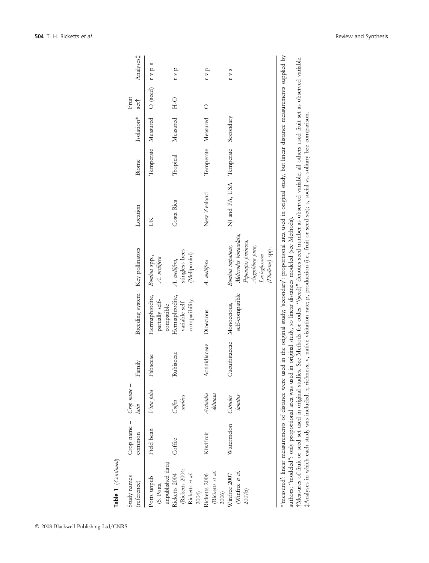| Table 1 (Continued)                                          |                           |                          |                      |                                                   |                                                                                                                                                                                                                                                                                                                                                                                                                                                                                                                                                                                                                                                                    |                                    |                    |            |               |                       |
|--------------------------------------------------------------|---------------------------|--------------------------|----------------------|---------------------------------------------------|--------------------------------------------------------------------------------------------------------------------------------------------------------------------------------------------------------------------------------------------------------------------------------------------------------------------------------------------------------------------------------------------------------------------------------------------------------------------------------------------------------------------------------------------------------------------------------------------------------------------------------------------------------------------|------------------------------------|--------------------|------------|---------------|-----------------------|
| Study names<br>(reference)                                   | $Crop$ name $-$<br>common | $Crop$ name $-$<br>latın | Family               | Breeding system Key pollinators                   |                                                                                                                                                                                                                                                                                                                                                                                                                                                                                                                                                                                                                                                                    | Location                           | Biome              | Isolation* | Fruit<br>sett | Analyses <sub>‡</sub> |
| unpublished data)<br>Potts unpub<br>(S. Potts,               | Field bean                | Vicia faba               | Fabaceae             | Hermaphrodite,<br>partially self-<br>compatible   | Bombus spp.,<br>A. mellifera                                                                                                                                                                                                                                                                                                                                                                                                                                                                                                                                                                                                                                       | Ж                                  | Temperate          | Measured   | O (seed)      | $r \vee p$ s          |
| (Ricketts 2004;<br>Ricketts et al.<br>Ricketts 2004<br>2004) | Coffee                    | arabica<br>Coffea        | Rubiaceae            | Hermaphrodite,<br>variable self-<br>compatibility | stingless bees<br>(Meliponini)<br>A. mellifera,                                                                                                                                                                                                                                                                                                                                                                                                                                                                                                                                                                                                                    | Costa Rica                         | Tropical           | Measured   | $\frac{1}{2}$ | $f \vee p$            |
| (Ricketts et al.<br>Ricketts 2006<br>2006)                   | Kiwifruit                 | Actindia<br>deliciosa    | Actinidiaceae        | Dioecious                                         | A. mellifera                                                                                                                                                                                                                                                                                                                                                                                                                                                                                                                                                                                                                                                       | New Zealand                        | Temperate Measured |            | $\circ$       | $f \vee p$            |
| Winfree et al.<br>Winfree 2007<br>2007b)                     | Watermelon                | Citrulus<br>lanatus      | <b>Jucurbitaceae</b> | self-compatible<br>Monoecious,                    | Melissodes bimaculata,<br>Peponapis pruinosa,<br>Bombus impatiens,<br>Augochlora pura,<br>(Dialictus) spp.<br>Lasioglossum                                                                                                                                                                                                                                                                                                                                                                                                                                                                                                                                         | NJ and PA, USA Temperate Secondary |                    |            |               | $t \vee s$            |
|                                                              |                           |                          |                      |                                                   | *measured': linear measurements of distance were used in the original study; 'secondary': proportional area used in original study, but linear distance measurements supplied by<br>†Measures of fruit or seed set used in original studies. See Methods for codes. "(seed)" denotes seed number as observed variable; all others used fruit set as observed variable.<br>#Analyses in which each study was included. r, richness; v, native visitation rate; p, production (i.e., fruit or seed set); s, social vs. solitary bee comparison.<br>authors; "modeled": only proportional area was used in original study, so linear distances modeled (see Methods). |                                    |                    |            |               |                       |

- 2008 Blackwell Publishing Ltd/CNRS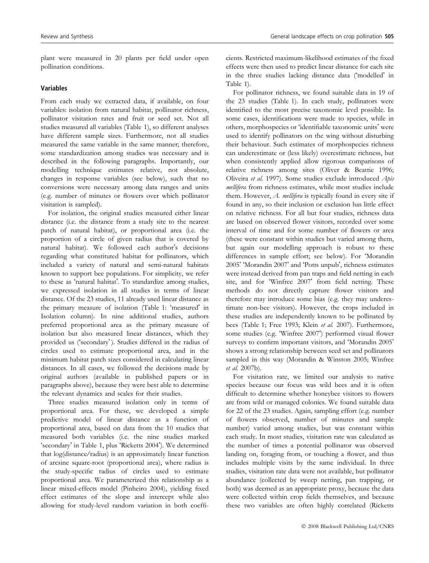plant were measured in 20 plants per field under open pollination conditions.

## Variables

From each study we extracted data, if available, on four variables: isolation from natural habitat, pollinator richness, pollinator visitation rates and fruit or seed set. Not all studies measured all variables (Table 1), so different analyses have different sample sizes. Furthermore, not all studies measured the same variable in the same manner; therefore, some standardization among studies was necessary and is described in the following paragraphs. Importantly, our modelling technique estimates relative, not absolute, changes in response variables (see below), such that no conversions were necessary among data ranges and units (e.g. number of minutes or flowers over which pollinator visitation is sampled).

For isolation, the original studies measured either linear distance (i.e. the distance from a study site to the nearest patch of natural habitat), or proportional area (i.e. the proportion of a circle of given radius that is covered by natural habitat). We followed each author's decisions regarding what constituted habitat for pollinators, which included a variety of natural and semi-natural habitats known to support bee populations. For simplicity, we refer to these as 'natural habitat'. To standardize among studies, we expressed isolation in all studies in terms of linear distance. Of the 23 studies, 11 already used linear distance as the primary measure of isolation (Table 1: 'measured' in Isolation column). In nine additional studies, authors preferred proportional area as the primary measure of isolation but also measured linear distances, which they provided us ('secondary'). Studies differed in the radius of circles used to estimate proportional area, and in the minimum habitat patch sizes considered in calculating linear distances. In all cases, we followed the decisions made by original authors (available in published papers or in paragraphs above), because they were best able to determine the relevant dynamics and scales for their studies.

Three studies measured isolation only in terms of proportional area. For these, we developed a simple predictive model of linear distance as a function of proportional area, based on data from the 10 studies that measured both variables (i.e. the nine studies marked 'secondary' in Table 1, plus 'Ricketts 2004'). We determined that log(distance ⁄radius) is an approximately linear function of arcsine square-root (proportional area), where radius is the study-specific radius of circles used to estimate proportional area. We parameterized this relationship as a linear mixed-effects model (Pinheiro 2004), yielding fixed effect estimates of the slope and intercept while also allowing for study-level random variation in both coefficients. Restricted maximum-likelihood estimates of the fixed effects were then used to predict linear distance for each site in the three studies lacking distance data ('modelled' in Table 1).

For pollinator richness, we found suitable data in 19 of the 23 studies (Table 1). In each study, pollinators were identified to the most precise taxonomic level possible. In some cases, identifications were made to species, while in others, morphospecies or 'identifiable taxonomic units' were used to identify pollinators on the wing without disturbing their behaviour. Such estimates of morphospecies richness can underestimate or (less likely) overestimate richness, but when consistently applied allow rigorous comparisons of relative richness among sites (Oliver & Beattie 1996; Oliveira et al. 1997). Some studies exclude introduced Apis mellifera from richness estimates, while most studies include them. However, A. mellifera is typically found in every site if found in any, so their inclusion or exclusion has little effect on relative richness. For all but four studies, richness data are based on observed flower visitors, recorded over some interval of time and for some number of flowers or area (these were constant within studies but varied among them, but again our modelling approach is robust to these differences in sample effort; see below). For 'Morandin 2005' 'Morandin 2007' and 'Potts unpub', richness estimates were instead derived from pan traps and field netting in each site, and for 'Winfree 2007' from field netting. These methods do not directly capture flower visitors and therefore may introduce some bias (e.g. they may underestimate non-bee visitors). However, the crops included in these studies are independently known to be pollinated by bees (Table 1; Free 1993; Klein et al. 2007). Furthermore, some studies (e.g. 'Winfree 2007') performed visual flower surveys to confirm important visitors, and 'Morandin 2005' shows a strong relationship between seed set and pollinators sampled in this way (Morandin & Winston 2005; Winfree et al. 2007b).

For visitation rate, we limited our analysis to native species because our focus was wild bees and it is often difficult to determine whether honeybee visitors to flowers are from wild or managed colonies. We found suitable data for 22 of the 23 studies. Again, sampling effort (e.g. number of flowers observed, number of minutes and sample number) varied among studies, but was constant within each study. In most studies, visitation rate was calculated as the number of times a potential pollinator was observed landing on, foraging from, or touching a flower, and thus includes multiple visits by the same individual. In three studies, visitation rate data were not available, but pollinator abundance (collected by sweep netting, pan trapping, or both) was deemed as an appropriate proxy, because the data were collected within crop fields themselves, and because these two variables are often highly correlated (Ricketts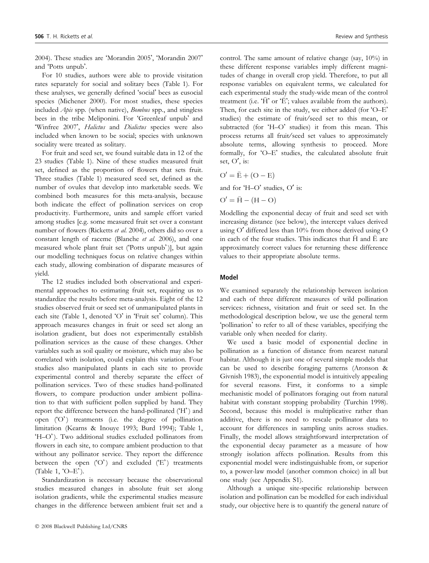2004). These studies are 'Morandin 2005', 'Morandin 2007' and 'Potts unpub'.

For 10 studies, authors were able to provide visitation rates separately for social and solitary bees (Table 1). For these analyses, we generally defined 'social' bees as eusocial species (Michener 2000). For most studies, these species included Apis spp. (when native), Bombus spp., and stingless bees in the tribe Meliponini. For 'Greenleaf unpub' and 'Winfree 2007', Halictus and Dialictus species were also included when known to be social; species with unknown sociality were treated as solitary.

For fruit and seed set, we found suitable data in 12 of the 23 studies (Table 1). Nine of these studies measured fruit set, defined as the proportion of flowers that sets fruit. Three studies (Table 1) measured seed set, defined as the number of ovules that develop into marketable seeds. We combined both measures for this meta-analysis, because both indicate the effect of pollination services on crop productivity. Furthermore, units and sample effort varied among studies [e.g. some measured fruit set over a constant number of flowers (Ricketts et al. 2004), others did so over a constant length of raceme (Blanche et al. 2006), and one measured whole plant fruit set ('Potts unpub')], but again our modelling techniques focus on relative changes within each study, allowing combination of disparate measures of yield.

The 12 studies included both observational and experimental approaches to estimating fruit set, requiring us to standardize the results before meta-analysis. Eight of the 12 studies observed fruit or seed set of unmanipulated plants in each site (Table 1, denoted 'O' in 'Fruit set' column). This approach measures changes in fruit or seed set along an isolation gradient, but does not experimentally establish pollination services as the cause of these changes. Other variables such as soil quality or moisture, which may also be correlated with isolation, could explain this variation. Four studies also manipulated plants in each site to provide experimental control and thereby separate the effect of pollination services. Two of these studies hand-pollinated flowers, to compare production under ambient pollination to that with sufficient pollen supplied by hand. They report the difference between the hand-pollinated ('H') and open ('O') treatments (i.e. the degree of pollination limitation (Kearns & Inouye 1993; Burd 1994); Table 1, 'H-O'). Two additional studies excluded pollinators from flowers in each site, to compare ambient production to that without any pollinator service. They report the difference between the open (O') and excluded (E') treatments (Table 1, 'O-E').

Standardization is necessary because the observational studies measured changes in absolute fruit set along isolation gradients, while the experimental studies measure changes in the difference between ambient fruit set and a control. The same amount of relative change (say, 10%) in these different response variables imply different magnitudes of change in overall crop yield. Therefore, to put all response variables on equivalent terms, we calculated for each experimental study the study-wide mean of the control treatment (i.e. ' $\bar{H}$ ' or ' $\bar{E}$ '; values available from the authors). Then, for each site in the study, we either added (for 'O–E' studies) the estimate of fruit/seed set to this mean, or subtracted (for 'H-O' studies) it from this mean. This process returns all fruit⁄seed set values to approximately absolute terms, allowing synthesis to proceed. More formally, for 'O-E' studies, the calculated absolute fruit set,  $O'$ , is:

$$
O' = \bar{E} + (O - E)
$$

and for  $H-O'$  studies,  $O'$  is:

 $O' = \bar{H} - (H - O)$ 

Modelling the exponential decay of fruit and seed set with increasing distance (see below), the intercept values derived using O' differed less than 10% from those derived using O in each of the four studies. This indicates that  $\bar{H}$  and  $\bar{E}$  are approximately correct values for returning these difference values to their appropriate absolute terms.

## Model

We examined separately the relationship between isolation and each of three different measures of wild pollination services: richness, visitation and fruit or seed set. In the methodological description below, we use the general term 'pollination' to refer to all of these variables, specifying the variable only when needed for clarity.

We used a basic model of exponential decline in pollination as a function of distance from nearest natural habitat. Although it is just one of several simple models that can be used to describe foraging patterns (Aronson & Givnish 1983), the exponential model is intuitively appealing for several reasons. First, it conforms to a simple mechanistic model of pollinators foraging out from natural habitat with constant stopping probability (Turchin 1998). Second, because this model is multiplicative rather than additive, there is no need to rescale pollinator data to account for differences in sampling units across studies. Finally, the model allows straightforward interpretation of the exponential decay parameter as a measure of how strongly isolation affects pollination. Results from this exponential model were indistinguishable from, or superior to, a power-law model (another common choice) in all but one study (see Appendix S1).

Although a unique site-specific relationship between isolation and pollination can be modelled for each individual study, our objective here is to quantify the general nature of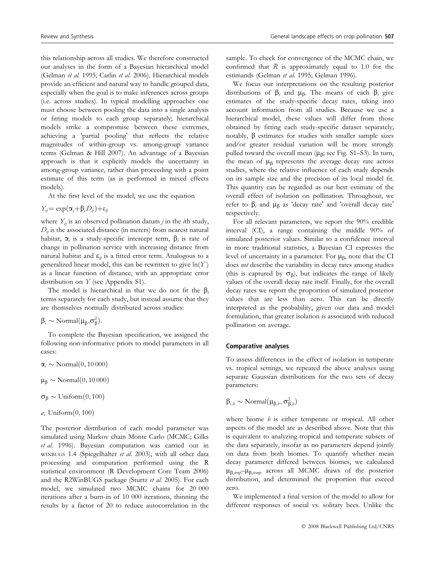this relationship across all studies. We therefore constructed our analyses in the form of a Bayesian hierarchical model (Gelman et al. 1995; Carlin et al. 2006). Hierarchical models provide an efficient and natural way to handle grouped data, especially when the goal is to make inferences across groups (i.e. across studies). In typical modelling approaches one must choose between pooling the data into a single analysis or fitting models to each group separately; hierarchical models strike a compromise between these extremes, achieving a 'partial pooling' that reflects the relative magnitudes of within-group vs. among-group variance terms (Gelman & Hill 2007). An advantage of a Bayesian approach is that it explicitly models the uncertainty in among-group variance, rather than proceeding with a point estimate of this term (as is performed in mixed effects models).

At the first level of the model, we use the equation

$$
Y_{ij} = \exp(\alpha_i + \beta_i D_{ij}) + \varepsilon_{ij}
$$

where  $Y_{ij}$  is an observed pollination datum *j* in the *i*th study,  $D_{ij}$  is the associated distance (in meters) from nearest natural habitat,  $\alpha_i$  is a study-specific intercept term,  $\beta_i$  is rate of change in pollination service with increasing distance from natural habitat and  $\varepsilon_{ii}$  is a fitted error term. Analogous to a generalized linear model, this can be rewritten to give  $ln(Y)$ as a linear function of distance, with an appropriate error distribution on Y (see Appendix S1).

The model is hierarchical in that we do not fit the  $\beta_i$ terms separately for each study, but instead assume that they are themselves normally distributed across studies:

 $\beta_i \sim \text{Normal}(\mu_\beta, \sigma_\beta^2).$ 

To complete the Bayesian specification, we assigned the following non-informative priors to model parameters in all cases:

 $\alpha_i \sim \text{Normal}(0, 10\,000)$ 

 $\mu_{\rm B} \sim$  Normal $(0, 10\,000)$ 

 $\sigma_{\beta} \sim$  Uniform $(0, 100)$ 

 $a_i$  Uniform $(0, 100)$ 

The posterior distribution of each model parameter was simulated using Markov chain Monte Carlo (MCMC; Gilks et al. 1996). Bayesian computation was carried out in wINBUGS 1.4 (Spiegelhalter et al. 2003), with all other data processing and computation performed using the R statistical environment (R Development Core Team 2006) and the R2WinBUGS package (Sturtz et al. 2005). For each model, we simulated two MCMC chains for 20 000 iterations after a burn-in of 10 000 iterations, thinning the results by a factor of 20 to reduce autocorrelation in the sample. To check for convergence of the MCMC chain, we confirmed that  $\bar{R}$  is approximately equal to 1.0 for the estimands (Gelman et al. 1995; Gelman 1996).

We focus our interpretations on the resulting posterior distributions of  $\beta_i$  and  $\mu_\beta$ . The means of each  $\beta_i$  give estimates of the study-specific decay rates, taking into account information from all studies. Because we use a hierarchical model, these values will differ from those obtained by fitting each study-specific dataset separately; notably,  $\beta$  estimates for studies with smaller sample sizes and/or greater residual variation will be more strongly pulled toward the overall mean ( $\mu$ <sub>B</sub>; see Fig. S1–S3). In turn, the mean of  $\mu_B$  represents the average decay rate across studies, where the relative influence of each study depends on its sample size and the precision of its local model fit. This quantity can be regarded as our best estimate of the overall effect of isolation on pollination. Throughout, we refer to  $\beta_i$  and  $\mu_\beta$  as 'decay rate' and 'overall decay rate' respectively.

For all relevant parameters, we report the 90% credible interval (CI), a range containing the middle 90% of simulated posterior values. Similar to a confidence interval in more traditional statistics, a Bayesian CI expresses the level of uncertainty in a parameter. For  $\mu_B$ , note that the CI does not describe the variability in decay rates among studies (this is captured by  $\sigma_{\beta}$ ), but indicates the range of likely values of the overall decay rate itself. Finally, for the overall decay rates we report the proportion of simulated posterior values that are less than zero. This can be directly interpreted as the probability, given our data and model formulation, that greater isolation is associated with reduced pollination on average.

#### Comparative analyses

To assess differences in the effect of isolation in temperate vs. tropical settings, we repeated the above analyses using separate Gaussian distributions for the two sets of decay parameters:

$$
\beta_{i,b} \sim \text{Normal}(\mu_{\beta,b}, \sigma_{\beta,b}^2)
$$

where biome  $b$  is either temperate or tropical. All other aspects of the model are as described above. Note that this is equivalent to analyzing tropical and temperate subsets of the data separately, insofar as no parameters depend jointly on data from both biomes. To quantify whether mean decay parameter differed between biomes, we calculated  $\mu_{\beta, \text{trop}} - \mu_{\beta, \text{temp}}$  across all MCMC draws of the posterior distribution, and determined the proportion that exceed zero.

We implemented a final version of the model to allow for different responses of social vs. solitary bees. Unlike the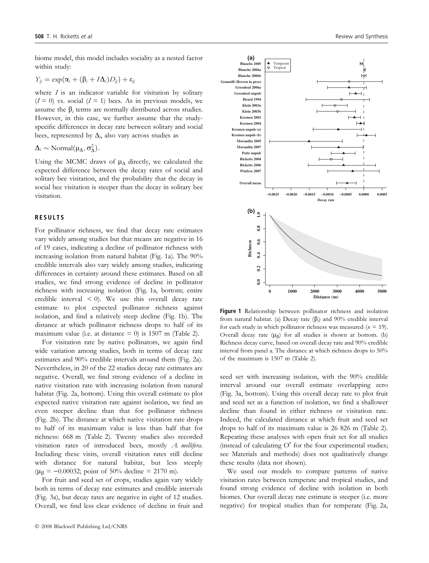biome model, this model includes sociality as a nested factor within study:

$$
Y_{ij} = \exp(\alpha_i + (\beta_i + I\Delta_i)D_{ij}) + \varepsilon_{ij}
$$

where  $I$  is an indicator variable for visitation by solitary  $(I = 0)$  vs. social  $(I = 1)$  bees. As in previous models, we assume the  $\beta_i$  terms are normally distributed across studies. However, in this case, we further assume that the studyspecific differences in decay rate between solitary and social bees, represented by  $\Delta_i$ , also vary across studies as

$$
\Delta_i \sim \text{Normal}(\mu_\Delta, \sigma_\Delta^2).
$$

Using the MCMC draws of  $\mu_{\Delta}$  directly, we calculated the expected difference between the decay rates of social and solitary bee visitation, and the probability that the decay in social bee visitation is steeper than the decay in solitary bee visitation.

#### RESULTS

For pollinator richness, we find that decay rate estimates vary widely among studies but that means are negative in 16 of 19 cases, indicating a decline of pollinator richness with increasing isolation from natural habitat (Fig. 1a). The 90% credible intervals also vary widely among studies, indicating differences in certainty around these estimates. Based on all studies, we find strong evidence of decline in pollinator richness with increasing isolation (Fig. 1a, bottom; entire credible interval < 0). We use this overall decay rate estimate to plot expected pollinator richness against isolation, and find a relatively steep decline (Fig. 1b). The distance at which pollinator richness drops to half of its maximum value (i.e. at distance  $= 0$ ) is 1507 m (Table 2).

For visitation rate by native pollinators, we again find wide variation among studies, both in terms of decay rate estimates and 90% credible intervals around them (Fig. 2a). Nevertheless, in 20 of the 22 studies decay rate estimates are negative. Overall, we find strong evidence of a decline in native visitation rate with increasing isolation from natural habitat (Fig. 2a, bottom). Using this overall estimate to plot expected native visitation rate against isolation, we find an even steeper decline than that for pollinator richness (Fig. 2b). The distance at which native visitation rate drops to half of its maximum value is less than half that for richness: 668 m (Table 2). Twenty studies also recorded visitation rates of introduced bees, mostly A. mellifera. Including these visits, overall visitation rates still decline with distance for natural habitat, but less steeply  $(\mu_B = -0.00032;$  point of 50% decline = 2170 m).

For fruit and seed set of crops, studies again vary widely both in terms of decay rate estimates and credible intervals (Fig. 3a), but decay rates are negative in eight of 12 studies. Overall, we find less clear evidence of decline in fruit and



Figure 1 Relationship between pollinator richness and isolation from natural habitat. (a) Decay rate  $(\beta_i)$  and 90% credible interval for each study in which pollinator richness was measured ( $n = 19$ ). Overall decay rate  $(\mu_{\beta})$  for all studies is shown at bottom. (b) Richness decay curve, based on overall decay rate and 90% credible interval from panel a. The distance at which richness drops to 50% of the maximum is 1507 m (Table 2).

seed set with increasing isolation, with the 90% credible interval around our overall estimate overlapping zero (Fig. 3a, bottom). Using this overall decay rate to plot fruit and seed set as a function of isolation, we find a shallower decline than found in either richness or visitation rate. Indeed, the calculated distance at which fruit and seed set drops to half of its maximum value is 26 826 m (Table 2). Repeating these analyses with open fruit set for all studies (instead of calculating  $O'$  for the four experimental studies; see Materials and methods) does not qualitatively change these results (data not shown).

We used our models to compare patterns of native visitation rates between temperate and tropical studies, and found strong evidence of decline with isolation in both biomes. Our overall decay rate estimate is steeper (i.e. more negative) for tropical studies than for temperate (Fig. 2a,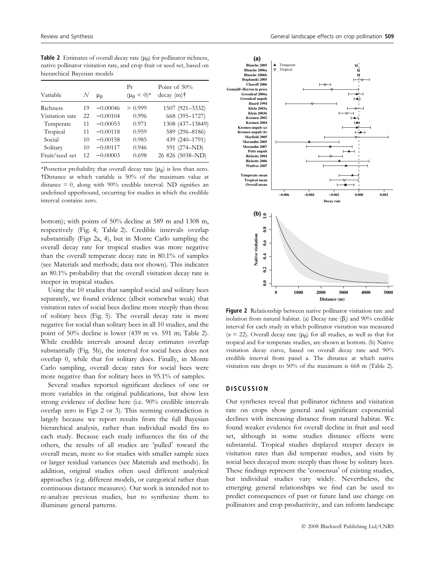**Table 2** Estimates of overall decay rate  $(\mu_{\beta})$  for pollinator richness, native pollinator visitation rate, and crop fruit or seed set, based on hierarchical Bayesian models

| Variable        | N   | $\mu_{\beta}$ | Pr<br>$(\mu_{\rm B} < 0)^*$ | Point of 50%<br>$decay (m)$ † |
|-----------------|-----|---------------|-----------------------------|-------------------------------|
| Richness        | 19  | $-0.00046$    | > 0.999                     | 1507 (921-3332)               |
| Visitation rate | 22  | $-0.00104$    | 0.996                       | 668 (395-1727)                |
| Temperate       | 11  | $-0.00053$    | 0.971                       | 1308 (437-13849)              |
| Tropical        | 11  | $-0.00118$    | 0.959                       | 589 (296-8186)                |
| Social          | 10  | $-0.00158$    | 0.985                       | 439 (240-1791)                |
| Solitary        | 10  | $-0.00117$    | 0.946                       | 591 (274-ND)                  |
| Fruit/seed set  | 12. | $-0.00003$    | 0.698                       | 26 826 (5038-ND)              |

\*Posterior probability that overall decay rate  $(\mu_{\beta})$  is less than zero. Distance at which variable is 50% of the maximum value at distance  $= 0$ , along with  $90\%$  credible interval. ND signifies an undefined upperbound, occurring for studies in which the credible

bottom); with points of 50% decline at 589 m and 1308 m, respectively (Fig. 4; Table 2). Credible intervals overlap substantially (Figs 2a, 4), but in Monte Carlo sampling the overall decay rate for tropical studies was more negative than the overall temperate decay rate in 80.1% of samples (see Materials and methods; data not shown). This indicates an 80.1% probability that the overall visitation decay rate is steeper in tropical studies.

Using the 10 studies that sampled social and solitary bees separately, we found evidence (albeit somewhat weak) that visitation rates of social bees decline more steeply than those of solitary bees (Fig. 5). The overall decay rate is more negative for social than solitary bees in all 10 studies, and the point of 50% decline is lower (439 m vs. 591 m; Table 2). While credible intervals around decay estimates overlap substantially (Fig. 5b), the interval for social bees does not overlap 0, while that for solitary does. Finally, in Monte Carlo sampling, overall decay rates for social bees were more negative than for solitary bees in 95.1% of samples.

Several studies reported significant declines of one or more variables in the original publications, but show less strong evidence of decline here (i.e. 90% credible intervals overlap zero in Figs 2 or 3). This seeming contradiction is largely because we report results from the full Bayesian hierarchical analysis, rather than individual model fits to each study. Because each study influences the fits of the others, the results of all studies are 'pulled' toward the overall mean, more so for studies with smaller sample sizes or larger residual variances (see Materials and methods). In addition, original studies often used different analytical approaches (e.g. different models, or categorical rather than continuous distance measures). Our work is intended not to re-analyze previous studies, but to synthesize them to illuminate general patterns.



Figure 2 Relationship between native pollinator visitation rate and isolation from natural habitat. (a) Decay rate ( $\beta_i$ ) and 90% credible interval for each study in which pollinator visitation was measured ( $n = 22$ ). Overall decay rate ( $\mu_B$ ) for all studies, as well as that for tropical and for temperate studies, are shown at bottom. (b) Native visitation decay curve, based on overall decay rate and 90% credible interval from panel a. The distance at which native visitation rate drops to 50% of the maximum is 668 m (Table 2).

#### DISCUSSION

Our syntheses reveal that pollinator richness and visitation rate on crops show general and significant exponential declines with increasing distance from natural habitat. We found weaker evidence for overall decline in fruit and seed set, although in some studies distance effects were substantial. Tropical studies displayed steeper decays in visitation rates than did temperate studies, and visits by social bees decayed more steeply than those by solitary bees. These findings represent the 'consensus' of existing studies, but individual studies vary widely. Nevertheless, the emerging general relationships we find can be used to predict consequences of past or future land use change on pollinators and crop productivity, and can inform landscape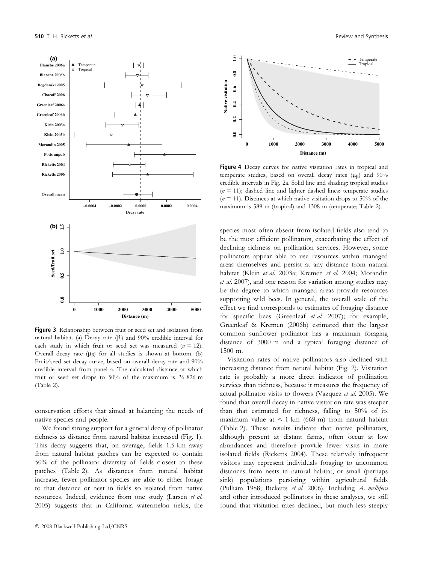

Figure 3 Relationship between fruit or seed set and isolation from natural habitat. (a) Decay rate ( $\beta$ ) and 90% credible interval for each study in which fruit or seed set was measured  $(n = 12)$ . Overall decay rate  $(\mu_B)$  for all studies is shown at bottom. (b) Fruit/seed set decay curve, based on overall decay rate and 90% credible interval from panel a. The calculated distance at which fruit or seed set drops to 50% of the maximum is 26 826 m (Table 2).

conservation efforts that aimed at balancing the needs of native species and people.

We found strong support for a general decay of pollinator richness as distance from natural habitat increased (Fig. 1). This decay suggests that, on average, fields 1.5 km away from natural habitat patches can be expected to contain 50% of the pollinator diversity of fields closest to these patches (Table 2). As distances from natural habitat increase, fewer pollinator species are able to either forage to that distance or nest in fields so isolated from native resources. Indeed, evidence from one study (Larsen et al. 2005) suggests that in California watermelon fields, the



Figure 4 Decay curves for native visitation rates in tropical and temperate studies, based on overall decay rates  $(\mu_B)$  and 90% credible intervals in Fig. 2a. Solid line and shading: tropical studies  $(n = 11)$ ; dashed line and lighter dashed lines: temperate studies  $(n = 11)$ . Distances at which native visitation drops to 50% of the maximum is 589 m (tropical) and 1308 m (temperate; Table 2).

species most often absent from isolated fields also tend to be the most efficient pollinators, exacerbating the effect of declining richness on pollination services. However, some pollinators appear able to use resources within managed areas themselves and persist at any distance from natural habitat (Klein et al. 2003a; Kremen et al. 2004; Morandin et al. 2007), and one reason for variation among studies may be the degree to which managed areas provide resources supporting wild bees. In general, the overall scale of the effect we find corresponds to estimates of foraging distance for specific bees (Greenleaf et al. 2007); for example, Greenleaf & Kremen (2006b) estimated that the largest common sunflower pollinator has a maximum foraging distance of 3000 m and a typical foraging distance of 1500 m.

Visitation rates of native pollinators also declined with increasing distance from natural habitat (Fig. 2). Visitation rate is probably a more direct indicator of pollination services than richness, because it measures the frequency of actual pollinator visits to flowers (Vazquez et al. 2005). We found that overall decay in native visitation rate was steeper than that estimated for richness, falling to 50% of its maximum value at  $\leq 1$  km (668 m) from natural habitat (Table 2). These results indicate that native pollinators, although present at distant farms, often occur at low abundances and therefore provide fewer visits in more isolated fields (Ricketts 2004). These relatively infrequent visitors may represent individuals foraging to uncommon distances from nests in natural habitat, or small (perhaps sink) populations persisting within agricultural fields (Pulliam 1988; Ricketts et al. 2006). Including A. mellifera and other introduced pollinators in these analyses, we still found that visitation rates declined, but much less steeply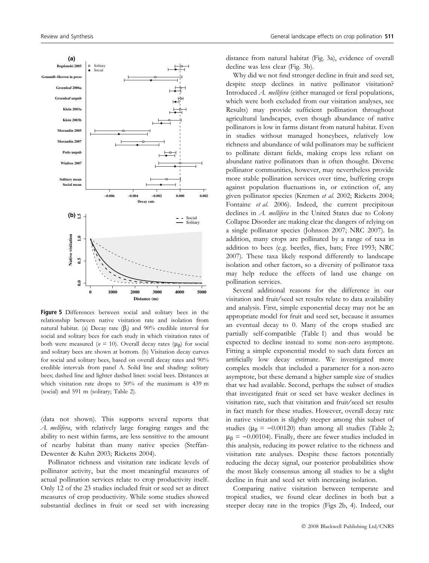

Figure 5 Differences between social and solitary bees in the relationship between native visitation rate and isolation from natural habitat. (a) Decay rate ( $\beta$ ) and 90% credible interval for social and solitary bees for each study in which visitation rates of both were measured ( $n = 10$ ). Overall decay rates ( $\mu_B$ ) for social and solitary bees are shown at bottom. (b) Visitation decay curves for social and solitary bees, based on overall decay rates and 90% credible intervals from panel A. Solid line and shading: solitary bees; dashed line and lighter dashed lines: social bees. Distances at which visitation rate drops to 50% of the maximum is 439 m (social) and 591 m (solitary; Table 2).

(data not shown). This supports several reports that A. mellifera, with relatively large foraging ranges and the ability to nest within farms, are less sensitive to the amount of nearby habitat than many native species (Steffan-Dewenter & Kuhn 2003; Ricketts 2004).

Pollinator richness and visitation rate indicate levels of pollinator activity, but the most meaningful measures of actual pollination services relate to crop productivity itself. Only 12 of the 23 studies included fruit or seed set as direct measures of crop productivity. While some studies showed substantial declines in fruit or seed set with increasing distance from natural habitat (Fig. 3a), evidence of overall decline was less clear (Fig. 3b).

Why did we not find stronger decline in fruit and seed set, despite steep declines in native pollinator visitation? Introduced A. mellifera (either managed or feral populations, which were both excluded from our visitation analyses, see Results) may provide sufficient pollination throughout agricultural landscapes, even though abundance of native pollinators is low in farms distant from natural habitat. Even in studies without managed honeybees, relatively low richness and abundance of wild pollinators may be sufficient to pollinate distant fields, making crops less reliant on abundant native pollinators than is often thought. Diverse pollinator communities, however, may nevertheless provide more stable pollination services over time, buffering crops against population fluctuations in, or extinction of, any given pollinator species (Kremen et al. 2002; Ricketts 2004; Fontaine et al. 2006). Indeed, the current precipitous declines in A. mellifera in the United States due to Colony Collapse Disorder are making clear the dangers of relying on a single pollinator species (Johnson 2007; NRC 2007). In addition, many crops are pollinated by a range of taxa in addition to bees (e.g. beetles, flies, bats; Free 1993; NRC 2007). These taxa likely respond differently to landscape isolation and other factors, so a diversity of pollinator taxa may help reduce the effects of land use change on pollination services.

Several additional reasons for the difference in our visitation and fruit/seed set results relate to data availability and analysis. First, simple exponential decay may not be an appropriate model for fruit and seed set, because it assumes an eventual decay to 0. Many of the crops studied are partially self-compatible (Table 1) and thus would be expected to decline instead to some non-zero asymptote. Fitting a simple exponential model to such data forces an artificially low decay estimate. We investigated more complex models that included a parameter for a non-zero asymptote, but these demand a higher sample size of studies that we had available. Second, perhaps the subset of studies that investigated fruit or seed set have weaker declines in visitation rate, such that visitation and fruit/seed set results in fact match for these studies. However, overall decay rate in native visitation is slightly steeper among this subset of studies ( $\mu$ <sub>B</sub> = -0.00120) than among all studies (Table 2;  $\mu_B = -0.00104$ ). Finally, there are fewer studies included in this analysis, reducing its power relative to the richness and visitation rate analyses. Despite these factors potentially reducing the decay signal, our posterior probabilities show the most likely consensus among all studies to be a slight decline in fruit and seed set with increasing isolation.

Comparing native visitation between temperate and tropical studies, we found clear declines in both but a steeper decay rate in the tropics (Figs 2b, 4). Indeed, our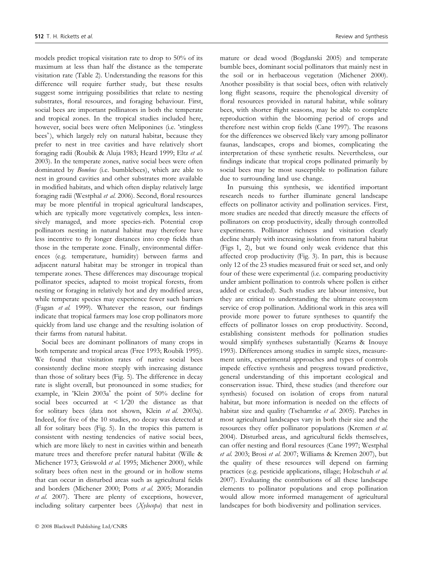models predict tropical visitation rate to drop to 50% of its maximum at less than half the distance as the temperate visitation rate (Table 2). Understanding the reasons for this difference will require further study, but these results suggest some intriguing possibilities that relate to nesting substrates, floral resources, and foraging behaviour. First, social bees are important pollinators in both the temperate and tropical zones. In the tropical studies included here, however, social bees were often Meliponines (i.e. 'stingless bees'), which largely rely on natural habitat, because they prefer to nest in tree cavities and have relatively short foraging radii (Roubik & Aluja 1983; Heard 1999; Eltz et al. 2003). In the temperate zones, native social bees were often dominated by *Bombus* (i.e. bumblebees), which are able to nest in ground cavities and other substrates more available in modified habitats, and which often display relatively large foraging radii (Westphal et al. 2006). Second, floral resources may be more plentiful in tropical agricultural landscapes, which are typically more vegetatively complex, less intensively managed, and more species-rich. Potential crop pollinators nesting in natural habitat may therefore have less incentive to fly longer distances into crop fields than those in the temperate zone. Finally, environmental differences (e.g. temperature, humidity) between farms and adjacent natural habitat may be stronger in tropical than temperate zones. These differences may discourage tropical pollinator species, adapted to moist tropical forests, from nesting or foraging in relatively hot and dry modified areas, while temperate species may experience fewer such barriers (Fagan et al. 1999). Whatever the reason, our findings indicate that tropical farmers may lose crop pollinators more quickly from land use change and the resulting isolation of their farms from natural habitat.

Social bees are dominant pollinators of many crops in both temperate and tropical areas (Free 1993; Roubik 1995). We found that visitation rates of native social bees consistently decline more steeply with increasing distance than those of solitary bees (Fig. 5). The difference in decay rate is slight overall, but pronounced in some studies; for example, in 'Klein 2003a' the point of 50% decline for social bees occurred at  $\lt 1/20$  the distance as that for solitary bees (data not shown, Klein et al. 2003a). Indeed, for five of the 10 studies, no decay was detected at all for solitary bees (Fig. 5). In the tropics this pattern is consistent with nesting tendencies of native social bees, which are more likely to nest in cavities within and beneath mature trees and therefore prefer natural habitat (Wille & Michener 1973; Griswold et al. 1995; Michener 2000), while solitary bees often nest in the ground or in hollow stems that can occur in disturbed areas such as agricultural fields and borders (Michener 2000; Potts et al. 2005; Morandin et al. 2007). There are plenty of exceptions, however, including solitary carpenter bees (Xylocopa) that nest in mature or dead wood (Bogdanski 2005) and temperate bumble bees, dominant social pollinators that mainly nest in the soil or in herbaceous vegetation (Michener 2000). Another possibility is that social bees, often with relatively long flight seasons, require the phenological diversity of floral resources provided in natural habitat, while solitary bees, with shorter flight seasons, may be able to complete reproduction within the blooming period of crops and therefore nest within crop fields (Cane 1997). The reasons for the differences we observed likely vary among pollinator faunas, landscapes, crops and biomes, complicating the interpretation of these synthetic results. Nevertheless, our findings indicate that tropical crops pollinated primarily by social bees may be most susceptible to pollination failure due to surrounding land use change.

In pursuing this synthesis, we identified important research needs to further illuminate general landscape effects on pollinator activity and pollination services. First, more studies are needed that directly measure the effects of pollinators on crop productivity, ideally through controlled experiments. Pollinator richness and visitation clearly decline sharply with increasing isolation from natural habitat (Figs 1, 2), but we found only weak evidence that this affected crop productivity (Fig. 3). In part, this is because only 12 of the 23 studies measured fruit or seed set, and only four of these were experimental (i.e. comparing productivity under ambient pollination to controls where pollen is either added or excluded). Such studies are labour intensive, but they are critical to understanding the ultimate ecosystem service of crop pollination. Additional work in this area will provide more power to future syntheses to quantify the effects of pollinator losses on crop productivity. Second, establishing consistent methods for pollination studies would simplify syntheses substantially (Kearns & Inouye 1993). Differences among studies in sample sizes, measurement units, experimental approaches and types of controls impede effective synthesis and progress toward predictive, general understanding of this important ecological and conservation issue. Third, these studies (and therefore our synthesis) focused on isolation of crops from natural habitat, but more information is needed on the effects of habitat size and quality (Tscharntke et al. 2005). Patches in most agricultural landscapes vary in both their size and the resources they offer pollinator populations (Kremen et al. 2004). Disturbed areas, and agricultural fields themselves, can offer nesting and floral resources (Cane 1997; Westphal et al. 2003; Brosi et al. 2007; Williams & Kremen 2007), but the quality of these resources will depend on farming practices (e.g. pesticide applications, tillage; Holzschuh et al. 2007). Evaluating the contributions of all these landscape elements to pollinator populations and crop pollination would allow more informed management of agricultural landscapes for both biodiversity and pollination services.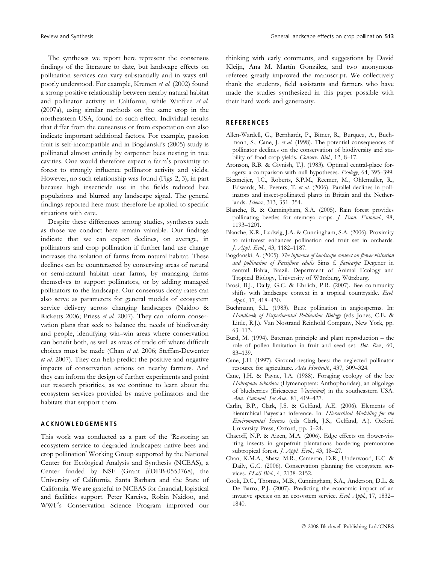The syntheses we report here represent the consensus findings of the literature to date, but landscape effects on pollination services can vary substantially and in ways still poorly understood. For example, Kremen et al. (2002) found a strong positive relationship between nearby natural habitat and pollinator activity in California, while Winfree et al. (2007a), using similar methods on the same crop in the northeastern USA, found no such effect. Individual results that differ from the consensus or from expectation can also indicate important additional factors. For example, passion fruit is self-incompatible and in Bogdanski's (2005) study is pollinated almost entirely by carpenter bees nesting in tree cavities. One would therefore expect a farm's proximity to forest to strongly influence pollinator activity and yields. However, no such relationship was found (Figs 2, 3), in part because high insecticide use in the fields reduced bee populations and blurred any landscape signal. The general findings reported here must therefore be applied to specific situations with care.

Despite these differences among studies, syntheses such as those we conduct here remain valuable. Our findings indicate that we can expect declines, on average, in pollinators and crop pollination if further land use change increases the isolation of farms from natural habitat. These declines can be counteracted by conserving areas of natural or semi-natural habitat near farms, by managing farms themselves to support pollinators, or by adding managed pollinators to the landscape. Our consensus decay rates can also serve as parameters for general models of ecosystem service delivery across changing landscapes (Naidoo & Ricketts 2006; Priess et al. 2007). They can inform conservation plans that seek to balance the needs of biodiversity and people, identifying win–win areas where conservation can benefit both, as well as areas of trade off where difficult choices must be made (Chan et al. 2006; Steffan-Dewenter et al. 2007). They can help predict the positive and negative impacts of conservation actions on nearby farmers. And they can inform the design of further experiments and point out research priorities, as we continue to learn about the ecosystem services provided by native pollinators and the habitats that support them.

#### ACKNOWLEDGEMENTS

This work was conducted as a part of the Restoring an ecosystem service to degraded landscapes: native bees and crop pollination' Working Group supported by the National Center for Ecological Analysis and Synthesis (NCEAS), a Center funded by NSF (Grant #DEB-0553768), the University of California, Santa Barbara and the State of California. We are grateful to NCEAS for financial, logistical and facilities support. Peter Kareiva, Robin Naidoo, and WWF-s Conservation Science Program improved our

thinking with early comments, and suggestions by David Kleijn, Ana M. Martín González, and two anonymous referees greatly improved the manuscript. We collectively thank the students, field assistants and farmers who have made the studies synthesized in this paper possible with their hard work and generosity.

#### **REFERENCES**

- Allen-Wardell, G., Bernhardt, P., Bitner, R., Burquez, A., Buchmann, S., Cane, J. et al. (1998). The potential consequences of pollinator declines on the conservation of biodiversity and stability of food crop yields. Conserv. Biol., 12, 8-17.
- Aronson, R.B. & Givnish, T.J. (1983). Optimal central-place foragers: a comparison with null hypotheses. Ecology, 64, 395-399.
- Biesmeijer, J.C., Roberts, S.P.M., Reemer, M., Ohlemuller, R., Edwards, M., Peeters, T. et al. (2006). Parallel declines in pollinators and insect-pollinated plants in Britain and the Netherlands. Science, 313, 351–354.
- Blanche, R. & Cunningham, S.A. (2005). Rain forest provides pollinating beetles for atemoya crops. J. Econ. Entomol., 98, 1193–1201.
- Blanche, K.R., Ludwig, J.A. & Cunningham, S.A. (2006). Proximity to rainforest enhances pollination and fruit set in orchards. J. Appl. Ecol., 43, 1182–1187.
- Bogdanski, A. (2005). The influence of landscape context on flower visitation and pollination of Passiflora edulis Sims f. flavicarpa Degener in central Bahia, Brazil. Department of Animal Ecology and Tropical Biology, University of Würzburg, Würzburg.
- Brosi, B.J., Daily, G.C. & Ehrlich, P.R. (2007). Bee community shifts with landscape context in a tropical countryside. Ecol. Appl., 17, 418-430.
- Buchmann, S.L. (1983). Buzz pollination in angiosperms. In: Handbook of Experimental Pollination Biology (eds Jones, C.E. & Little, R.J.). Van Nostrand Reinhold Company, New York, pp. 63–113.
- Burd, M. (1994). Bateman principle and plant reproduction the role of pollen limitation in fruit and seed set. Bot. Rev., 60, 83–139.
- Cane, J.H. (1997). Ground-nesting bees: the neglected pollinator resource for agriculture. Acta Horticult., 437, 309–324.
- Cane, J.H. & Payne, J.A. (1988). Foraging ecology of the bee Habropoda laboriosa (Hymenoptera: Anthophoridae), an oligolege of blueberries (Ericaceae: Vaccinium) in the southeastern USA. Ann. Entomol. Soc.Am., 81, 419–427.
- Carlin, B.P., Clark, J.S. & Gelfand, A.E. (2006). Elements of hierarchical Bayesian inference. In: Hierarchical Modelling for the Environmental Sciences (eds Clark, J.S., Gelfand, A.). Oxford University Press, Oxford, pp. 3–24.
- Chacoff, N.P. & Aizen, M.A. (2006). Edge effects on flower-visiting insects in grapefruit plantations bordering premontane subtropical forest. J. Appl. Ecol., 43, 18-27.
- Chan, K.M.A., Shaw, M.R., Cameron, D.R., Underwood, E.C. & Daily, G.C. (2006). Conservation planning for ecosystem services. PLoS Biol., 4, 2138–2152.
- Cook, D.C., Thomas, M.B., Cunningham, S.A., Anderson, D.L. & De Barro, P.J. (2007). Predicting the economic impact of an invasive species on an ecosystem service. Ecol. Appl., 17, 1832-1840.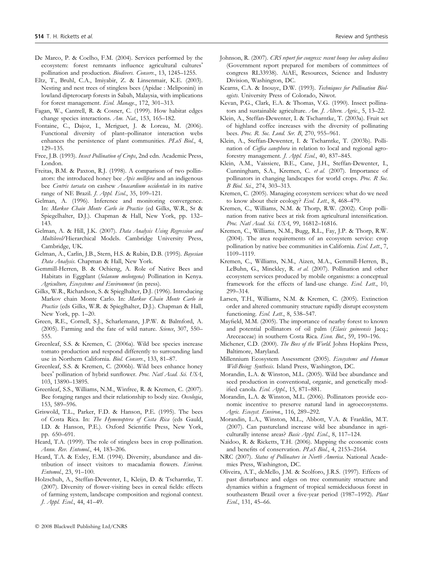- De Marco, P. & Coelho, F.M. (2004). Services performed by the ecosystem: forest remnants influence agricultural cultures' pollination and production. Biodivers. Conserv., 13, 1245–1255.
- Eltz, T., Bruhl, C.A., Imiyabir, Z. & Linsenmair, K.E. (2003). Nesting and nest trees of stingless bees (Apidae : Meliponini) in lowland dipterocarp forests in Sabah, Malaysia, with implications for forest management. Ecol. Manage., 172, 301–313.
- Fagan, W., Cantrell, R. & Cosner, C. (1999). How habitat edges change species interactions. Am. Nat., 153, 165–182.
- Fontaine, C., Dajoz, I., Meriguet, J. & Loreau, M. (2006). Functional diversity of plant–pollinator interaction webs enhances the persistence of plant communities. PLoS Biol., 4, 129–135.
- Free, J.B. (1993). Insect Pollination of Crops, 2nd edn. Academic Press, London.
- Freitas, B.M. & Paxton, R.J. (1998). A comparison of two pollinators: the introduced honey bee *Apis mellifera* and an indigenous bee Centris tarsata on cashew Anacardium occidentale in its native range of NE Brazil. J. Appl. Ecol., 35, 109–121.
- Gelman, A. (1996). Inference and monitoring convergence. In: Markov Chain Monte Carlo in Practice (ed Gilks, W.R., Sr & Spiegelhalter, D.J.). Chapman & Hall, New York, pp. 132– 143.
- Gelman, A. & Hill, J.K. (2007). Data Analysis Using Regression and Multilevel/Hierarchical Models. Cambridge University Press, Cambridge, UK.
- Gelman, A., Carlin, J.B., Stern, H.S. & Rubin, D.B. (1995). Bayesian Data Analysis. Chapman & Hall, New York.
- Gemmill-Herren, B. & Ochieng, A. Role of Native Bees and Habitats in Eggplant (Solanum melongena) Pollination in Kenya. Agriculture, Ecosystems and Environment (in press).
- Gilks, W.R., Richardson, S. & Spieglhalter, D.J. (1996). Introducing Markov chain Monte Carlo. In: Markov Chain Monte Carlo in Practice (eds Gilks, W.R. & Spieglhalter, D.J.). Chapman & Hall, New York, pp. 1–20.
- Green, R.E., Cornell, S.J., Scharlemann, J.P.W. & Balmford, A. (2005). Farming and the fate of wild nature. Science, 307, 550-555.
- Greenleaf, S.S. & Kremen, C. (2006a). Wild bee species increase tomato production and respond differently to surrounding land use in Northern California. Biol. Conserv., 133, 81–87.
- Greenleaf, S.S. & Kremen, C. (2006b). Wild bees enhance honey bees' pollination of hybrid sunflower. Proc. Natl Acad. Sci. USA, 103, 13890–13895.
- Greenleaf, S.S., Williams, N.M., Winfree, R. & Kremen, C. (2007). Bee foraging ranges and their relationship to body size. Oecologia, 153, 589–596.
- Griswold, T.L., Parker, F.D. & Hanson, P.E. (1995). The bees of Costa Rica. In: The Hymenoptera of Costa Rica (eds Gauld, I.D. & Hanson, P.E.). Oxford Scientific Press, New York, pp. 650–691.
- Heard, T.A. (1999). The role of stingless bees in crop pollination. Annu. Rev. Entomol., 44, 183-206.
- Heard, T.A. & Exley, E.M. (1994). Diversity, abundance and distribution of insect visitors to macadamia flowers. Environ. Entomol., 23, 91–100.
- Holzschuh, A., Steffan-Dewenter, I., Kleijn, D. & Tscharntke, T. (2007). Diversity of flower-visiting bees in cereal fields: effects of farming system, landscape composition and regional context. J. Appl. Ecol., 44, 41–49.
- Johnson, R. (2007). CRS report for congress: recent honey bee colony declines (Government report prepared for members of committees of congress RL33938). AiAE, Resources, Science and Industry Division, Washington, DC.
- Kearns, C.A. & Inouye, D.W. (1993). Techniques for Pollination Biologists. University Press of Colorado, Niwot.
- Kevan, P.G., Clark, E.A. & Thomas, V.G. (1990). Insect pollinators and sustainable agriculture. Am. J. Altern. Agric., 5, 13–22.
- Klein, A., Steffan-Dewenter, I. & Tscharntke, T. (2003a). Fruit set of highland coffee increases with the diversity of pollinating bees. Proc. R. Soc. Lond. Ser. B, 270, 955–961.
- Klein, A., Steffan-Dewenter, I. & Tscharntke, T. (2003b). Pollination of Coffea canephora in relation to local and regional agroforestry management. J. Appl. Ecol., 40, 837–845.
- Klein, A.M., Vaissiere, B.E., Cane, J.H., Steffan-Dewenter, I., Cunningham, S.A., Kremen, C. et al. (2007). Importance of pollinators in changing landscapes for world crops. Proc. R Soc. B Biol. Sci., 274, 303–313.
- Kremen, C. (2005). Managing ecosystem services: what do we need to know about their ecology? Ecol. Lett., 8, 468-479.
- Kremen, C., Williams, N.M. & Thorp, R.W. (2002). Crop pollination from native bees at risk from agricultural intensification. Proc. Natl Acad. Sci. USA, 99, 16812-16816.
- Kremen, C., Williams, N.M., Bugg, R.L., Fay, J.P. & Thorp, R.W. (2004). The area requirements of an ecosystem service: crop pollination by native bee communities in California. Ecol. Lett., 7, 1109–1119.
- Kremen, C., Williams, N.M., Aizen, M.A., Gemmill-Herren, B., LeBuhn, G., Minckley, R. et al. (2007). Pollination and other ecosystem services produced by mobile organisms: a conceptual framework for the effects of land-use change. Ecol. Lett., 10, 299–314.
- Larsen, T.H., Williams, N.M. & Kremen, C. (2005). Extinction order and altered community structure rapidly disrupt ecosystem functioning. Ecol. Lett., 8, 538-547.
- Mayfield, M.M. (2005). The importance of nearby forest to known and potential pollinators of oil palm (Elaeis guineensis Jacq.; Areceaceae) in southern Costa Rica. Econ. Bot., 59, 190-196.
- Michener, C.D. (2000). The Bees of the World. Johns Hopkins Press, Baltimore, Maryland.
- Millennium Ecosystem Assessment (2005). Ecosystems and Human Well-Being: Synthesis. Island Press, Washington, DC.
- Morandin, L.A. & Winston, M.L. (2005). Wild bee abundance and seed production in conventional, organic, and genetically modified canola. Ecol. Appl., 15, 871–881.
- Morandin, L.A. & Winston, M.L. (2006). Pollinators provide economic incentive to preserve natural land in agroecosystems. Agric. Ecosyst. Environ., 116, 289–292.
- Morandin, L.A., Winston, M.L., Abbott, V.A. & Franklin, M.T. (2007). Can pastureland increase wild bee abundance in agriculturally intense areas? Basic Appl. Ecol., 8, 117-124.
- Naidoo, R. & Ricketts, T.H. (2006). Mapping the economic costs and benefits of conservation. PLoS Biol., 4, 2153–2164.
- NRC (2007). Status of Pollinators in North America. National Academies Press, Washington, DC.
- Oliveira, A.T., deMello, J.M. & Scolforo, J.R.S. (1997). Effects of past disturbance and edges on tree community structure and dynamics within a fragment of tropical semideciduous forest in southeastern Brazil over a five-year period (1987-1992). Plant Ecol., 131, 45–66.